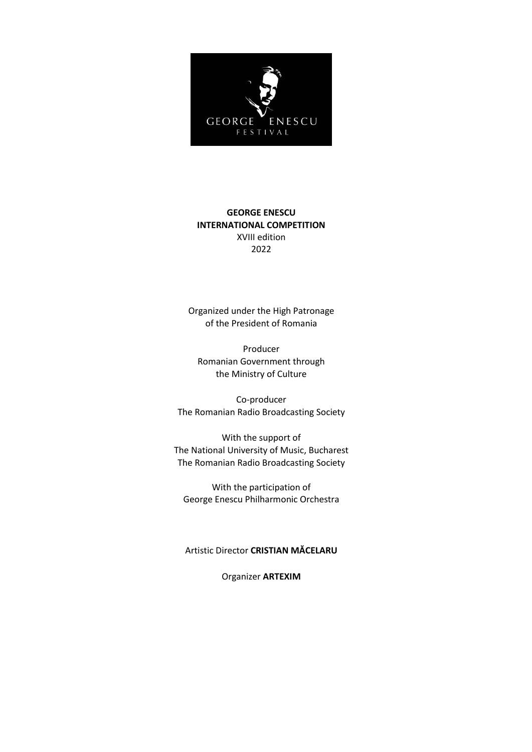

# **GEORGE ENESCU INTERNATIONAL COMPETITION** XVIII edition 2022

Organized under the High Patronage of the President of Romania

Producer Romanian Government through the Ministry of Culture

Co-producer The Romanian Radio Broadcasting Society

With the support of The National University of Music, Bucharest The Romanian Radio Broadcasting Society

With the participation of George Enescu Philharmonic Orchestra

# Artistic Director **CRISTIAN MĂCELARU**

Organizer **ARTEXIM**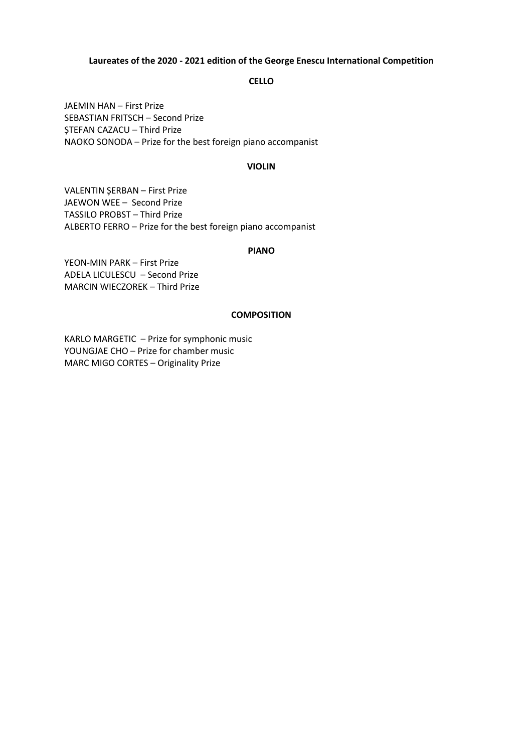### **Laureates of the 2020 - 2021 edition of the George Enescu International Competition**

### **CELLO**

JAEMIN HAN – First Prize SEBASTIAN FRITSCH – Second Prize ȘTEFAN CAZACU – Third Prize NAOKO SONODA – Prize for the best foreign piano accompanist

#### **VIOLIN**

VALENTIN ŞERBAN – First Prize JAEWON WEE – Second Prize TASSILO PROBST – Third Prize ALBERTO FERRO – Prize for the best foreign piano accompanist

#### **PIANO**

YEON-MIN PARK – First Prize ADELA LICULESCU – Second Prize MARCIN WIECZOREK – Third Prize

### **COMPOSITION**

KARLO MARGETIC – Prize for symphonic music YOUNGJAE CHO – Prize for chamber music MARC MIGO CORTES – Originality Prize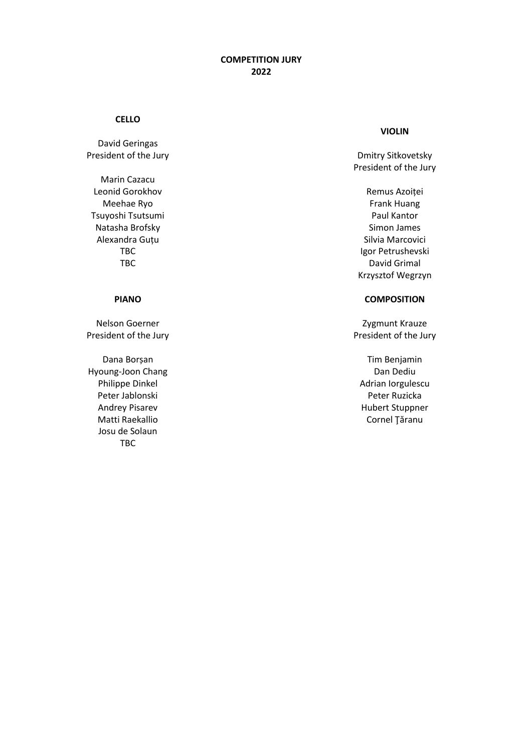### **CELLO**

David Geringas President of the Jury

Marin Cazacu Leonid Gorokhov Meehae Ryo Tsuyoshi Tsutsumi Natasha Brofsky Alexandra Guțu TBC TBC

# **PIANO**

Nelson Goerner President of the Jury

Dana Borșan Hyoung-Joon Chang Philippe Dinkel Peter Jablonski Andrey Pisarev Matti Raekallio Josu de Solaun TBC

### **VIOLIN**

Dmitry Sitkovetsky President of the Jury

Remus Azoiței Frank Huang Paul Kantor Simon James Silvia Marcovici Igor Petrushevski David Grimal Krzysztof Wegrzyn

# **COMPOSITION**

Zygmunt Krauze President of the Jury

Tim Benjamin Dan Dediu Adrian Iorgulescu Peter Ruzicka Hubert Stuppner Cornel Ţăranu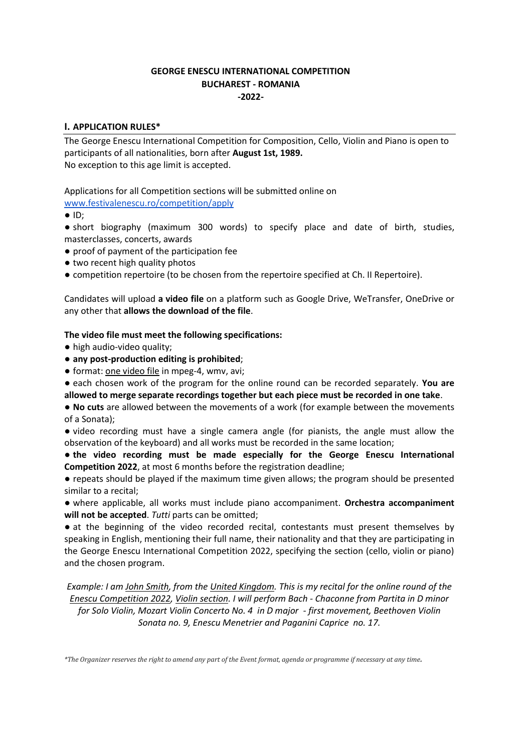# **GEORGE ENESCU INTERNATIONAL COMPETITION BUCHAREST - ROMANIA -2022-**

# **I. APPLICATION RULES\***

The George Enescu International Competition for Composition, Cello, Violin and Piano is open to participants of all nationalities, born after **August 1st, 1989.**  No exception to this age limit is accepted.

Applications for all Competition sections will be submitted online on

[www.festivalenescu.ro/competition/apply](http://www.festivalenescu.ro/competition/apply)

● ID;

● short biography (maximum 300 words) to specify place and date of birth, studies, masterclasses, concerts, awards

- proof of payment of the participation fee
- two recent high quality photos

● competition repertoire (to be chosen from the repertoire specified at Ch. II Repertoire).

Candidates will upload **a video file** on a platform such as Google Drive, WeTransfer, OneDrive or any other that **allows the download of the file**.

# **The video file must meet the following specifications:**

- high audio-video quality;
- **any post-production editing is prohibited**;
- format: one video file in mpeg-4, wmv, avi;

● each chosen work of the program for the online round can be recorded separately. **You are allowed to merge separate recordings together but each piece must be recorded in one take**.

● **No cuts** are allowed between the movements of a work (for example between the movements of a Sonata);

● video recording must have a single camera angle (for pianists, the angle must allow the observation of the keyboard) and all works must be recorded in the same location;

● **the video recording must be made especially for the George Enescu International Competition 2022**, at most 6 months before the registration deadline;

● repeats should be played if the maximum time given allows; the program should be presented similar to a recital;

● where applicable, all works must include piano accompaniment. **Orchestra accompaniment**  will not be accepted. Tutti parts can be omitted;

● at the beginning of the video recorded recital, contestants must present themselves by speaking in English, mentioning their full name, their nationality and that they are participating in the George Enescu International Competition 2022, specifying the section (cello, violin or piano) and the chosen program.

*Example: I am John Smith, from the United Kingdom. This is my recital for the online round of the Enescu Competition 2022, Violin section. I will perform Bach - Chaconne from Partita in D minor for Solo Violin, Mozart Violin Concerto No. 4 in D major - first movement, Beethoven Violin Sonata no. 9, Enescu Menetrier and Paganini Caprice no. 17.*

*\*The Organizer reserves the right to amend any part of the Event format, agenda or programme if necessary at any time.*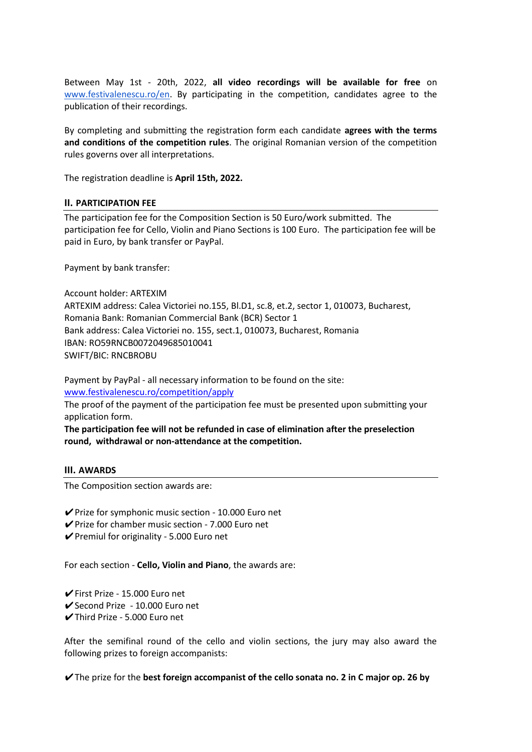Between May 1st - 20th, 2022, **all video recordings will be available for free** on [www.festivalenescu.ro/en.](http://www.festivalenescu.ro/en) By participating in the competition, candidates agree to the publication of their recordings.

By completing and submitting the registration form each candidate **agrees with the terms and conditions of the competition rules**. The original Romanian version of the competition rules governs over all interpretations.

The registration deadline is **April 15th, 2022.**

### **II. PARTICIPATION FEE**

The participation fee for the Composition Section is 50 Euro/work submitted. The participation fee for Cello, Violin and Piano Sections is 100 Euro. The participation fee will be paid in Euro, by bank transfer or PayPal.

Payment by bank transfer:

Account holder: ARTEXIM ARTEXIM address: Calea Victoriei no.155, Bl.D1, sc.8, et.2, sector 1, 010073, Bucharest, Romania Bank: Romanian Commercial Bank (BCR) Sector 1 Bank address: Calea Victoriei no. 155, sect.1, 010073, Bucharest, Romania IBAN: RO59RNCB0072049685010041 SWIFT/BIC: RNCBROBU

Payment by PayPal - all necessary information to be found on the site: www.festivalenescu.ro/competition/apply

The proof of the payment of the participation fee must be presented upon submitting your application form.

**The participation fee will not be refunded in case of elimination after the preselection round, withdrawal or non-attendance at the competition.**

### **III. AWARDS**

The Composition section awards are:

✔Prize for symphonic music section - 10.000 Euro net

- $\vee$  Prize for chamber music section 7.000 Euro net
- ✔Premiul for originality 5.000 Euro net

For each section - **Cello, Violin and Piano**, the awards are:

✔First Prize - 15.000 Euro net

- ✔Second Prize 10.000 Euro net
- ✔Third Prize 5.000 Euro net

After the semifinal round of the cello and violin sections, the jury may also award the following prizes to foreign accompanists:

✔The prize for the **best foreign accompanist of the cello sonata no. 2 in C major op. 26 by**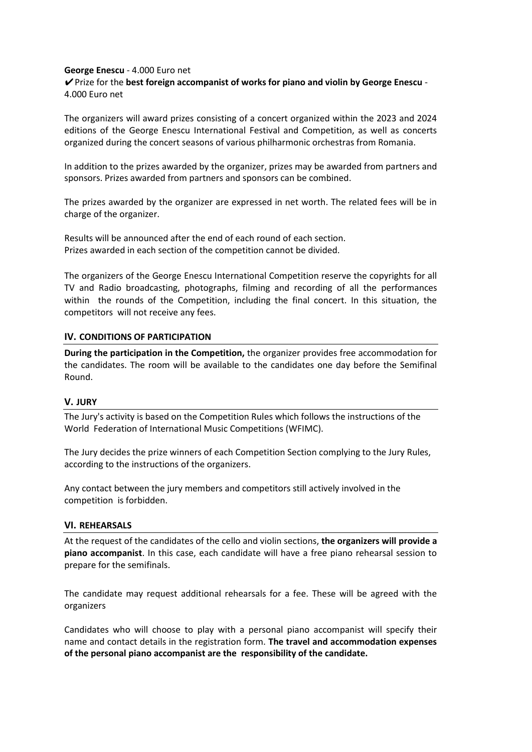### **George Enescu** - 4.000 Euro net

✔Prize for the **best foreign accompanist of works for piano and violin by George Enescu** - 4.000 Euro net

The organizers will award prizes consisting of a concert organized within the 2023 and 2024 editions of the George Enescu International Festival and Competition, as well as concerts organized during the concert seasons of various philharmonic orchestras from Romania.

In addition to the prizes awarded by the organizer, prizes may be awarded from partners and sponsors. Prizes awarded from partners and sponsors can be combined.

The prizes awarded by the organizer are expressed in net worth. The related fees will be in charge of the organizer.

Results will be announced after the end of each round of each section. Prizes awarded in each section of the competition cannot be divided.

The organizers of the George Enescu International Competition reserve the copyrights for all TV and Radio broadcasting, photographs, filming and recording of all the performances within the rounds of the Competition, including the final concert. In this situation, the competitors will not receive any fees.

### **IV. CONDITIONS OF PARTICIPATION**

**During the participation in the Competition,** the organizer provides free accommodation for the candidates. The room will be available to the candidates one day before the Semifinal Round.

### **V. JURY**

The Jury's activity is based on the Competition Rules which follows the instructions of the World Federation of International Music Competitions (WFIMC).

The Jury decides the prize winners of each Competition Section complying to the Jury Rules, according to the instructions of the organizers.

Any contact between the jury members and competitors still actively involved in the competition is forbidden.

### **VI. REHEARSALS**

At the request of the candidates of the cello and violin sections, **the organizers will provide a piano accompanist**. In this case, each candidate will have a free piano rehearsal session to prepare for the semifinals.

The candidate may request additional rehearsals for a fee. These will be agreed with the organizers

Candidates who will choose to play with a personal piano accompanist will specify their name and contact details in the registration form. **The travel and accommodation expenses of the personal piano accompanist are the responsibility of the candidate.**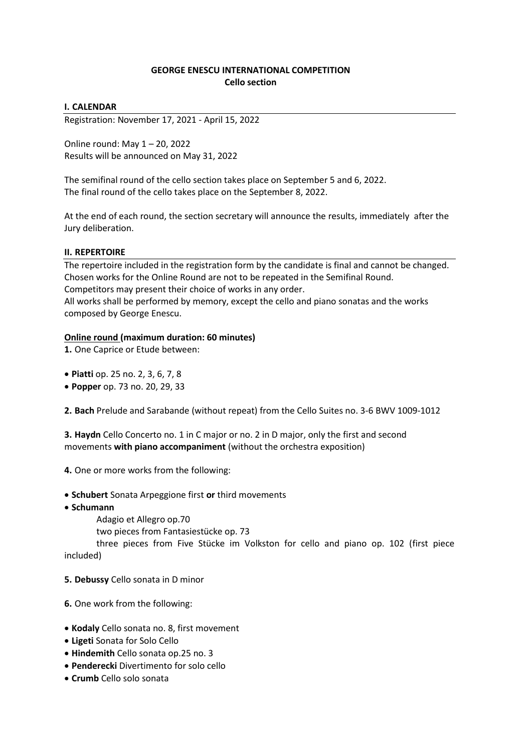# **GEORGE ENESCU INTERNATIONAL COMPETITION Cello section**

## **I. CALENDAR**

Registration: November 17, 2021 - April 15, 2022

Online round: May 1 – 20, 2022 Results will be announced on May 31, 2022

The semifinal round of the cello section takes place on September 5 and 6, 2022. The final round of the cello takes place on the September 8, 2022.

At the end of each round, the section secretary will announce the results, immediately after the Jury deliberation.

# **II. REPERTOIRE**

The repertoire included in the registration form by the candidate is final and cannot be changed. Chosen works for the Online Round are not to be repeated in the Semifinal Round. Competitors may present their choice of works in any order. All works shall be performed by memory, except the cello and piano sonatas and the works composed by George Enescu.

### **Online round (maximum duration: 60 minutes)**

**1.** One Caprice or Etude between:

- **Piatti** op. 25 no. 2, 3, 6, 7, 8
- **Popper** op. 73 no. 20, 29, 33

**2. Bach** Prelude and Sarabande (without repeat) from the Cello Suites no. 3-6 BWV 1009-1012

**3. Haydn** Cello Concerto no. 1 in C major or no. 2 in D major, only the first and second movements **with piano accompaniment** (without the orchestra exposition)

- **4.** One or more works from the following:
- **Schubert** Sonata Arpeggione first **or** third movements
- **Schumann** 
	- Adagio et Allegro op.70

two pieces from Fantasiestücke op. 73

three pieces from Five Stücke im Volkston for cello and piano op. 102 (first piece included)

- **5. Debussy** Cello sonata in D minor
- **6.** One work from the following:
- **Kodaly** Cello sonata no. 8, first movement
- **Ligeti** Sonata for Solo Cello
- **Hindemith** Cello sonata op.25 no. 3
- **Penderecki** Divertimento for solo cello
- **Crumb** Cello solo sonata